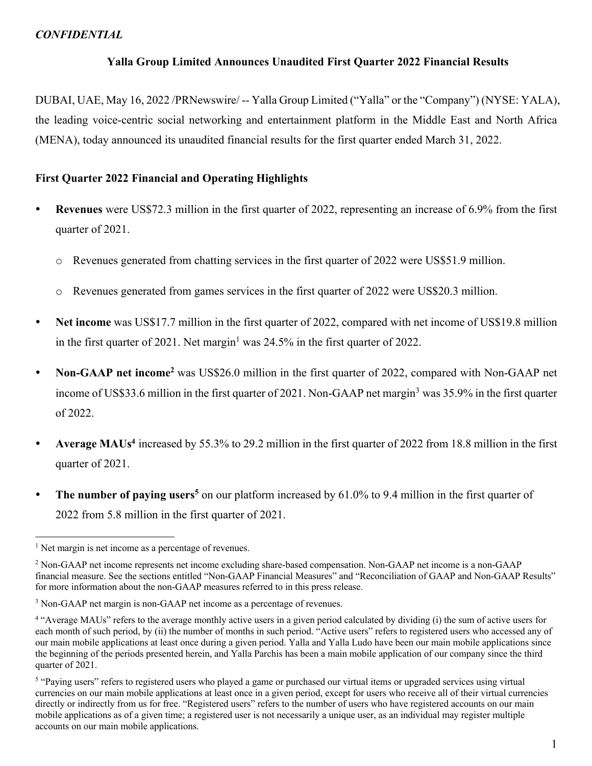# **Yalla Group Limited Announces Unaudited First Quarter 2022 Financial Results**

DUBAI, UAE, May 16, 2022 /PRNewswire/ -- Yalla Group Limited ("Yalla" or the "Company") (NYSE: YALA), the leading voice-centric social networking and entertainment platform in the Middle East and North Africa (MENA), today announced its unaudited financial results for the first quarter ended March 31, 2022.

# **First Quarter 2022 Financial and Operating Highlights**

- **Revenues** were US\$72.3 million in the first quarter of 2022, representing an increase of 6.9% from the first quarter of 2021.
	- o Revenues generated from chatting services in the first quarter of 2022 were US\$51.9 million.
	- o Revenues generated from games services in the first quarter of 2022 were US\$20.3 million.
- **Net income** was US\$17.7 million in the first quarter of 2022, compared with net income of US\$19.8 million in the first quarter of 2021. Net margin<sup>1</sup> was  $24.5\%$  in the first quarter of 2022.
- **Non-GAAP net income2** was US\$26.0 million in the first quarter of 2022, compared with Non-GAAP net income of US\$33.6 million in the first quarter of 2021. Non-GAAP net margin<sup>3</sup> was 35.9% in the first quarter of 2022.
- **Average MAUs4** increased by 55.3% to 29.2 million in the first quarter of 2022 from 18.8 million in the first quarter of 2021.
- **The number of paying users<sup>5</sup>** on our platform increased by 61.0% to 9.4 million in the first quarter of 2022 from 5.8 million in the first quarter of 2021.

 $<sup>1</sup>$  Net margin is net income as a percentage of revenues.</sup>

<sup>2</sup> Non-GAAP net income represents net income excluding share-based compensation. Non-GAAP net income is a non-GAAP financial measure. See the sections entitled "Non-GAAP Financial Measures" and "Reconciliation of GAAP and Non-GAAP Results" for more information about the non-GAAP measures referred to in this press release.

<sup>&</sup>lt;sup>3</sup> Non-GAAP net margin is non-GAAP net income as a percentage of revenues.

<sup>&</sup>lt;sup>4</sup> "Average MAUs" refers to the average monthly active users in a given period calculated by dividing (i) the sum of active users for each month of such period, by (ii) the number of months in such period. "Active users" refers to registered users who accessed any of our main mobile applications at least once during a given period. Yalla and Yalla Ludo have been our main mobile applications since the beginning of the periods presented herein, and Yalla Parchis has been a main mobile application of our company since the third quarter of 2021.

<sup>&</sup>lt;sup>5</sup> "Paying users" refers to registered users who played a game or purchased our virtual items or upgraded services using virtual currencies on our main mobile applications at least once in a given period, except for users who receive all of their virtual currencies directly or indirectly from us for free. "Registered users" refers to the number of users who have registered accounts on our main mobile applications as of a given time; a registered user is not necessarily a unique user, as an individual may register multiple accounts on our main mobile applications.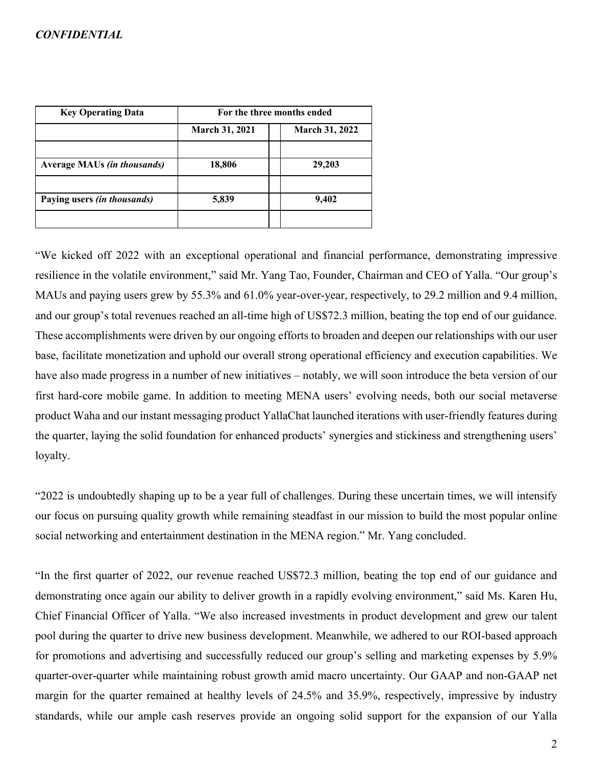| <b>Key Operating Data</b>          | For the three months ended |                       |  |
|------------------------------------|----------------------------|-----------------------|--|
|                                    | <b>March 31, 2021</b>      | <b>March 31, 2022</b> |  |
|                                    |                            |                       |  |
| <b>Average MAUs (in thousands)</b> | 18,806                     | 29,203                |  |
|                                    |                            |                       |  |
| Paying users <i>(in thousands)</i> | 5,839                      | 9,402                 |  |
|                                    |                            |                       |  |

"We kicked off 2022 with an exceptional operational and financial performance, demonstrating impressive resilience in the volatile environment," said Mr. Yang Tao, Founder, Chairman and CEO of Yalla. "Our group's MAUs and paying users grew by 55.3% and 61.0% year-over-year, respectively, to 29.2 million and 9.4 million, and our group's total revenues reached an all-time high of US\$72.3 million, beating the top end of our guidance. These accomplishments were driven by our ongoing efforts to broaden and deepen our relationships with our user base, facilitate monetization and uphold our overall strong operational efficiency and execution capabilities. We have also made progress in a number of new initiatives – notably, we will soon introduce the beta version of our first hard-core mobile game. In addition to meeting MENA users' evolving needs, both our social metaverse product Waha and our instant messaging product YallaChat launched iterations with user-friendly features during the quarter, laying the solid foundation for enhanced products' synergies and stickiness and strengthening users' loyalty.

"2022 is undoubtedly shaping up to be a year full of challenges. During these uncertain times, we will intensify our focus on pursuing quality growth while remaining steadfast in our mission to build the most popular online social networking and entertainment destination in the MENA region." Mr. Yang concluded.

"In the first quarter of 2022, our revenue reached US\$72.3 million, beating the top end of our guidance and demonstrating once again our ability to deliver growth in a rapidly evolving environment," said Ms. Karen Hu, Chief Financial Officer of Yalla. "We also increased investments in product development and grew our talent pool during the quarter to drive new business development. Meanwhile, we adhered to our ROI-based approach for promotions and advertising and successfully reduced our group's selling and marketing expenses by 5.9% quarter-over-quarter while maintaining robust growth amid macro uncertainty. Our GAAP and non-GAAP net margin for the quarter remained at healthy levels of 24.5% and 35.9%, respectively, impressive by industry standards, while our ample cash reserves provide an ongoing solid support for the expansion of our Yalla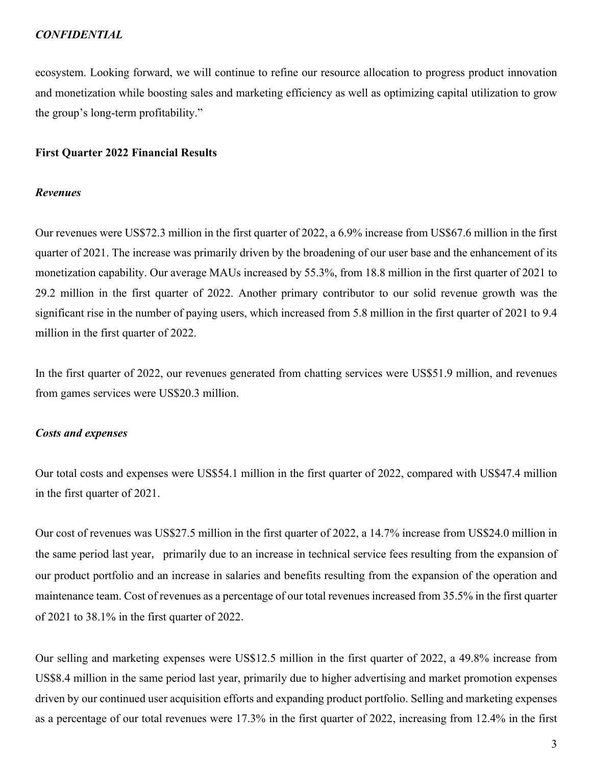ecosystem. Looking forward, we will continue to refine our resource allocation to progress product innovation and monetization while boosting sales and marketing efficiency as well as optimizing capital utilization to grow the group's long-term profitability."

### **First Quarter 2022 Financial Results**

## *Revenues*

Our revenues were US\$72.3 million in the first quarter of 2022, a 6.9% increase from US\$67.6 million in the first quarter of 2021. The increase was primarily driven by the broadening of our user base and the enhancement of its monetization capability. Our average MAUs increased by 55.3%, from 18.8 million in the first quarter of 2021 to 29.2 million in the first quarter of 2022. Another primary contributor to our solid revenue growth was the significant rise in the number of paying users, which increased from 5.8 million in the first quarter of 2021 to 9.4 million in the first quarter of 2022.

In the first quarter of 2022, our revenues generated from chatting services were US\$51.9 million, and revenues from games services were US\$20.3 million.

## *Costs and expenses*

Our total costs and expenses were US\$54.1 million in the first quarter of 2022, compared with US\$47.4 million in the first quarter of 2021.

Our cost of revenues was US\$27.5 million in the first quarter of 2022, a 14.7% increase from US\$24.0 million in the same period last year, primarily due to an increase in technical service fees resulting from the expansion of our product portfolio and an increase in salaries and benefits resulting from the expansion of the operation and maintenance team. Cost of revenues as a percentage of our total revenues increased from 35.5% in the first quarter of 2021 to 38.1% in the first quarter of 2022.

Our selling and marketing expenses were US\$12.5 million in the first quarter of 2022, a 49.8% increase from US\$8.4 million in the same period last year, primarily due to higher advertising and market promotion expenses driven by our continued user acquisition efforts and expanding product portfolio. Selling and marketing expenses as a percentage of our total revenues were 17.3% in the first quarter of 2022, increasing from 12.4% in the first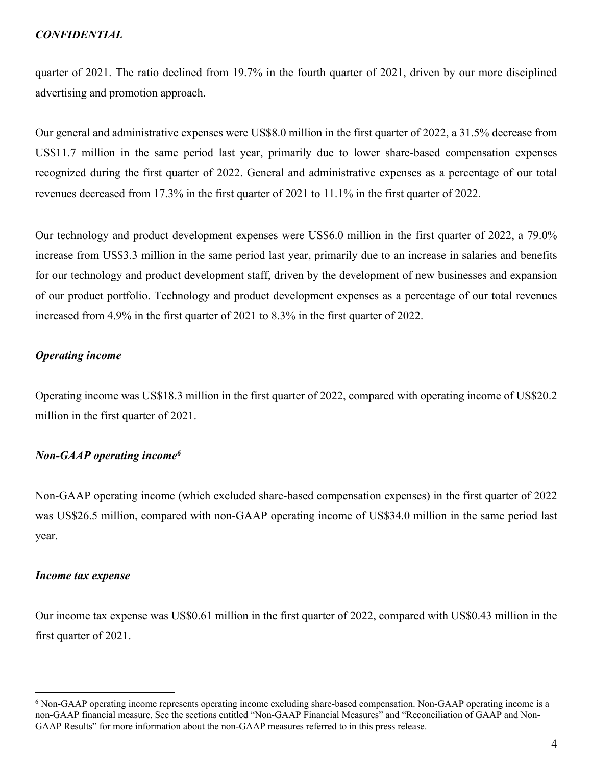quarter of 2021. The ratio declined from 19.7% in the fourth quarter of 2021, driven by our more disciplined advertising and promotion approach.

Our general and administrative expenses were US\$8.0 million in the first quarter of 2022, a 31.5% decrease from US\$11.7 million in the same period last year, primarily due to lower share-based compensation expenses recognized during the first quarter of 2022. General and administrative expenses as a percentage of our total revenues decreased from 17.3% in the first quarter of 2021 to 11.1% in the first quarter of 2022.

Our technology and product development expenses were US\$6.0 million in the first quarter of 2022, a 79.0% increase from US\$3.3 million in the same period last year, primarily due to an increase in salaries and benefits for our technology and product development staff, driven by the development of new businesses and expansion of our product portfolio. Technology and product development expenses as a percentage of our total revenues increased from 4.9% in the first quarter of 2021 to 8.3% in the first quarter of 2022.

## *Operating income*

Operating income was US\$18.3 million in the first quarter of 2022, compared with operating income of US\$20.2 million in the first quarter of 2021.

# *Non-GAAP operating income6*

Non-GAAP operating income (which excluded share-based compensation expenses) in the first quarter of 2022 was US\$26.5 million, compared with non-GAAP operating income of US\$34.0 million in the same period last year.

#### *Income tax expense*

Our income tax expense was US\$0.61 million in the first quarter of 2022, compared with US\$0.43 million in the first quarter of 2021.

<sup>6</sup> Non-GAAP operating income represents operating income excluding share-based compensation. Non-GAAP operating income is a non-GAAP financial measure. See the sections entitled "Non-GAAP Financial Measures" and "Reconciliation of GAAP and Non-GAAP Results" for more information about the non-GAAP measures referred to in this press release.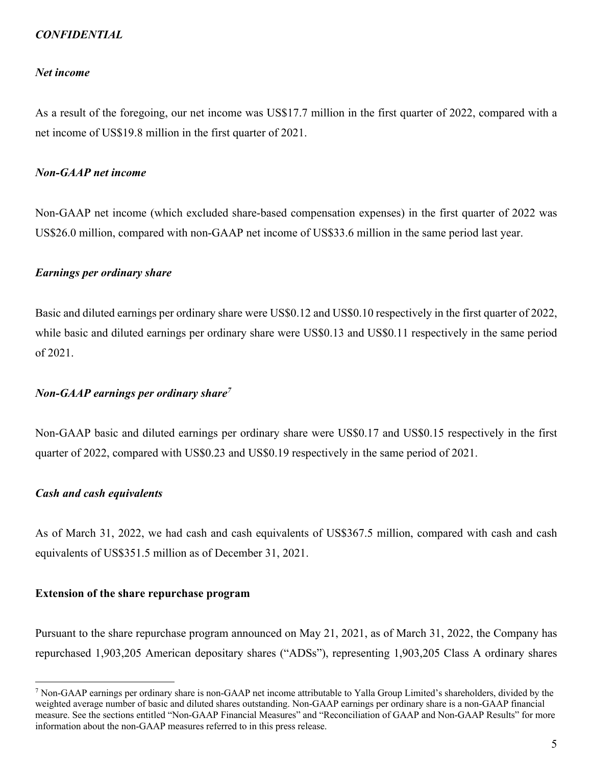### *Net income*

As a result of the foregoing, our net income was US\$17.7 million in the first quarter of 2022, compared with a net income of US\$19.8 million in the first quarter of 2021.

## *Non-GAAP net income*

Non-GAAP net income (which excluded share-based compensation expenses) in the first quarter of 2022 was US\$26.0 million, compared with non-GAAP net income of US\$33.6 million in the same period last year.

### *Earnings per ordinary share*

Basic and diluted earnings per ordinary share were US\$0.12 and US\$0.10 respectively in the first quarter of 2022, while basic and diluted earnings per ordinary share were US\$0.13 and US\$0.11 respectively in the same period of 2021.

## *Non-GAAP earnings per ordinary share7*

Non-GAAP basic and diluted earnings per ordinary share were US\$0.17 and US\$0.15 respectively in the first quarter of 2022, compared with US\$0.23 and US\$0.19 respectively in the same period of 2021.

### *Cash and cash equivalents*

As of March 31, 2022, we had cash and cash equivalents of US\$367.5 million, compared with cash and cash equivalents of US\$351.5 million as of December 31, 2021.

### **Extension of the share repurchase program**

Pursuant to the share repurchase program announced on May 21, 2021, as of March 31, 2022, the Company has repurchased 1,903,205 American depositary shares ("ADSs"), representing 1,903,205 Class A ordinary shares

 $^7$  Non-GAAP earnings per ordinary share is non-GAAP net income attributable to Yalla Group Limited's shareholders, divided by the weighted average number of basic and diluted shares outstanding. Non-GAAP earnings per ordinary share is a non-GAAP financial measure. See the sections entitled "Non-GAAP Financial Measures" and "Reconciliation of GAAP and Non-GAAP Results" for more information about the non-GAAP measures referred to in this press release.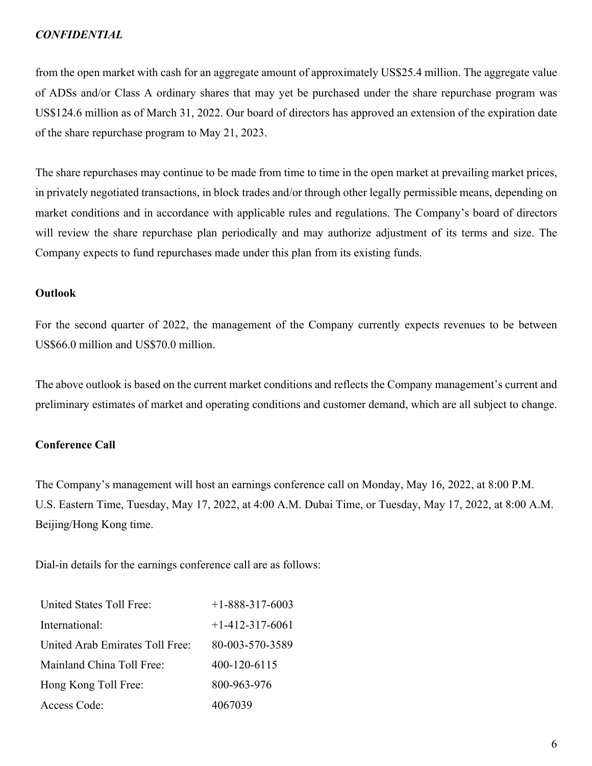from the open market with cash for an aggregate amount of approximately US\$25.4 million. The aggregate value of ADSs and/or Class A ordinary shares that may yet be purchased under the share repurchase program was US\$124.6 million as of March 31, 2022. Our board of directors has approved an extension of the expiration date of the share repurchase program to May 21, 2023.

The share repurchases may continue to be made from time to time in the open market at prevailing market prices, in privately negotiated transactions, in block trades and/or through other legally permissible means, depending on market conditions and in accordance with applicable rules and regulations. The Company's board of directors will review the share repurchase plan periodically and may authorize adjustment of its terms and size. The Company expects to fund repurchases made under this plan from its existing funds.

# **Outlook**

For the second quarter of 2022, the management of the Company currently expects revenues to be between US\$66.0 million and US\$70.0 million.

The above outlook is based on the current market conditions and reflects the Company management's current and preliminary estimates of market and operating conditions and customer demand, which are all subject to change.

# **Conference Call**

The Company's management will host an earnings conference call on Monday, May 16, 2022, at 8:00 P.M. U.S. Eastern Time, Tuesday, May 17, 2022, at 4:00 A.M. Dubai Time, or Tuesday, May 17, 2022, at 8:00 A.M. Beijing/Hong Kong time.

Dial-in details for the earnings conference call are as follows:

| United States Toll Free:        | $+1 - 888 - 317 - 6003$ |
|---------------------------------|-------------------------|
| International:                  | $+1-412-317-6061$       |
| United Arab Emirates Toll Free: | 80-003-570-3589         |
| Mainland China Toll Free:       | 400-120-6115            |
| Hong Kong Toll Free:            | 800-963-976             |
| Access Code:                    | 4067039                 |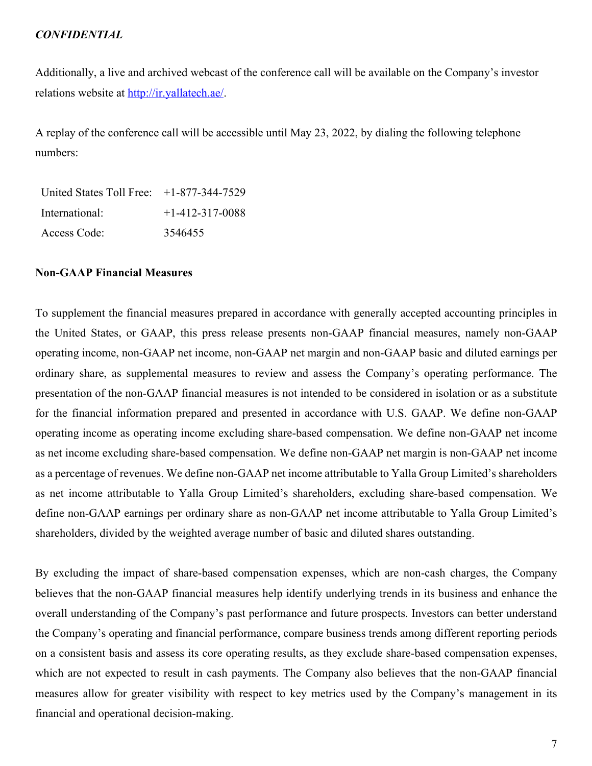Additionally, a live and archived webcast of the conference call will be available on the Company's investor relations website at http://ir.yallatech.ae/.

A replay of the conference call will be accessible until May 23, 2022, by dialing the following telephone numbers:

United States Toll Free: +1-877-344-7529 International: +1-412-317-0088 Access Code: 3546455

## **Non-GAAP Financial Measures**

To supplement the financial measures prepared in accordance with generally accepted accounting principles in the United States, or GAAP, this press release presents non-GAAP financial measures, namely non-GAAP operating income, non-GAAP net income, non-GAAP net margin and non-GAAP basic and diluted earnings per ordinary share, as supplemental measures to review and assess the Company's operating performance. The presentation of the non-GAAP financial measures is not intended to be considered in isolation or as a substitute for the financial information prepared and presented in accordance with U.S. GAAP. We define non-GAAP operating income as operating income excluding share-based compensation. We define non-GAAP net income as net income excluding share-based compensation. We define non-GAAP net margin is non-GAAP net income as a percentage of revenues. We define non-GAAP net income attributable to Yalla Group Limited's shareholders as net income attributable to Yalla Group Limited's shareholders, excluding share-based compensation. We define non-GAAP earnings per ordinary share as non-GAAP net income attributable to Yalla Group Limited's shareholders, divided by the weighted average number of basic and diluted shares outstanding.

By excluding the impact of share-based compensation expenses, which are non-cash charges, the Company believes that the non-GAAP financial measures help identify underlying trends in its business and enhance the overall understanding of the Company's past performance and future prospects. Investors can better understand the Company's operating and financial performance, compare business trends among different reporting periods on a consistent basis and assess its core operating results, as they exclude share-based compensation expenses, which are not expected to result in cash payments. The Company also believes that the non-GAAP financial measures allow for greater visibility with respect to key metrics used by the Company's management in its financial and operational decision-making.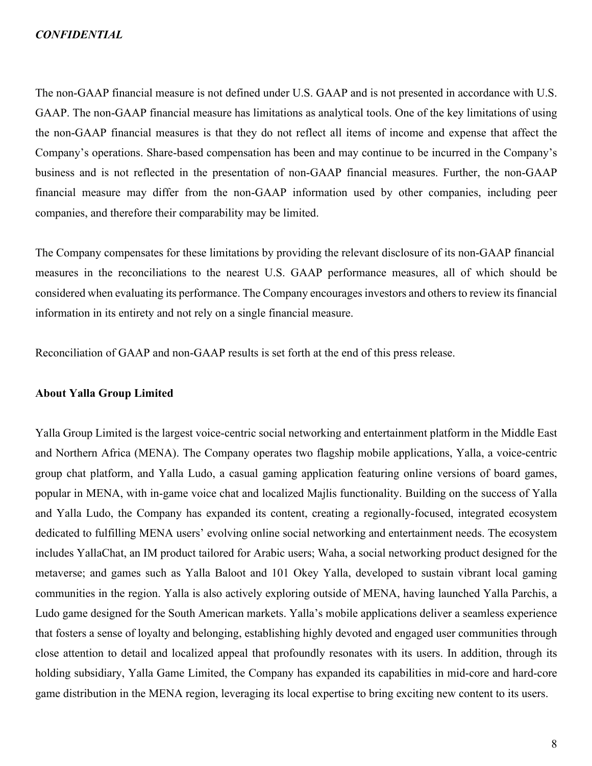The non-GAAP financial measure is not defined under U.S. GAAP and is not presented in accordance with U.S. GAAP. The non-GAAP financial measure has limitations as analytical tools. One of the key limitations of using the non-GAAP financial measures is that they do not reflect all items of income and expense that affect the Company's operations. Share-based compensation has been and may continue to be incurred in the Company's business and is not reflected in the presentation of non-GAAP financial measures. Further, the non-GAAP financial measure may differ from the non-GAAP information used by other companies, including peer companies, and therefore their comparability may be limited.

The Company compensates for these limitations by providing the relevant disclosure of its non-GAAP financial measures in the reconciliations to the nearest U.S. GAAP performance measures, all of which should be considered when evaluating its performance. The Company encourages investors and others to review its financial information in its entirety and not rely on a single financial measure.

Reconciliation of GAAP and non-GAAP results is set forth at the end of this press release.

### **About Yalla Group Limited**

Yalla Group Limited is the largest voice-centric social networking and entertainment platform in the Middle East and Northern Africa (MENA). The Company operates two flagship mobile applications, Yalla, a voice-centric group chat platform, and Yalla Ludo, a casual gaming application featuring online versions of board games, popular in MENA, with in-game voice chat and localized Majlis functionality. Building on the success of Yalla and Yalla Ludo, the Company has expanded its content, creating a regionally-focused, integrated ecosystem dedicated to fulfilling MENA users' evolving online social networking and entertainment needs. The ecosystem includes YallaChat, an IM product tailored for Arabic users; Waha, a social networking product designed for the metaverse; and games such as Yalla Baloot and 101 Okey Yalla, developed to sustain vibrant local gaming communities in the region. Yalla is also actively exploring outside of MENA, having launched Yalla Parchis, a Ludo game designed for the South American markets. Yalla's mobile applications deliver a seamless experience that fosters a sense of loyalty and belonging, establishing highly devoted and engaged user communities through close attention to detail and localized appeal that profoundly resonates with its users. In addition, through its holding subsidiary, Yalla Game Limited, the Company has expanded its capabilities in mid-core and hard-core game distribution in the MENA region, leveraging its local expertise to bring exciting new content to its users.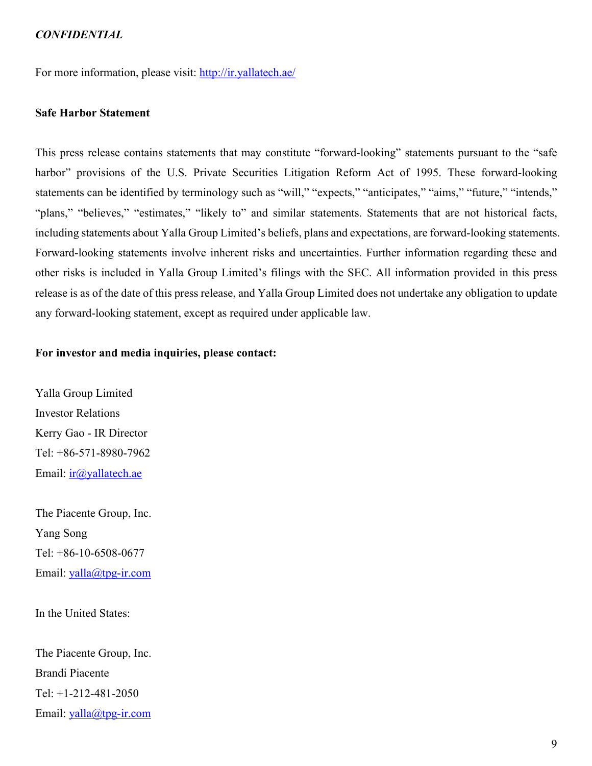For more information, please visit: http://ir.yallatech.ae/

# **Safe Harbor Statement**

This press release contains statements that may constitute "forward-looking" statements pursuant to the "safe harbor" provisions of the U.S. Private Securities Litigation Reform Act of 1995. These forward-looking statements can be identified by terminology such as "will," "expects," "anticipates," "aims," "future," "intends," "plans," "believes," "estimates," "likely to" and similar statements. Statements that are not historical facts, including statements about Yalla Group Limited's beliefs, plans and expectations, are forward-looking statements. Forward-looking statements involve inherent risks and uncertainties. Further information regarding these and other risks is included in Yalla Group Limited's filings with the SEC. All information provided in this press release is as of the date of this press release, and Yalla Group Limited does not undertake any obligation to update any forward-looking statement, except as required under applicable law.

### **For investor and media inquiries, please contact:**

Yalla Group Limited Investor Relations Kerry Gao - IR Director Tel: +86-571-8980-7962 Email: ir@yallatech.ae

The Piacente Group, Inc. Yang Song Tel: +86-10-6508-0677 Email: yalla@tpg-ir.com

In the United States:

The Piacente Group, Inc. Brandi Piacente Tel: +1-212-481-2050 Email: yalla@tpg-ir.com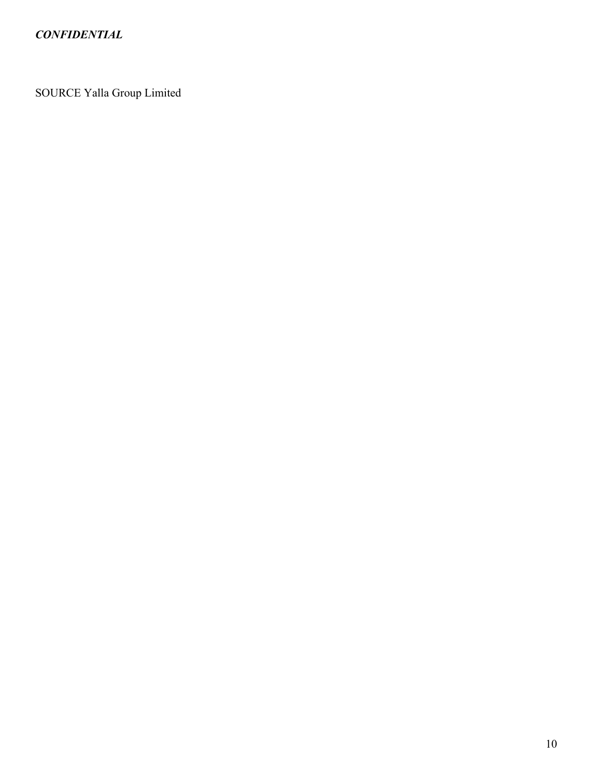SOURCE Yalla Group Limited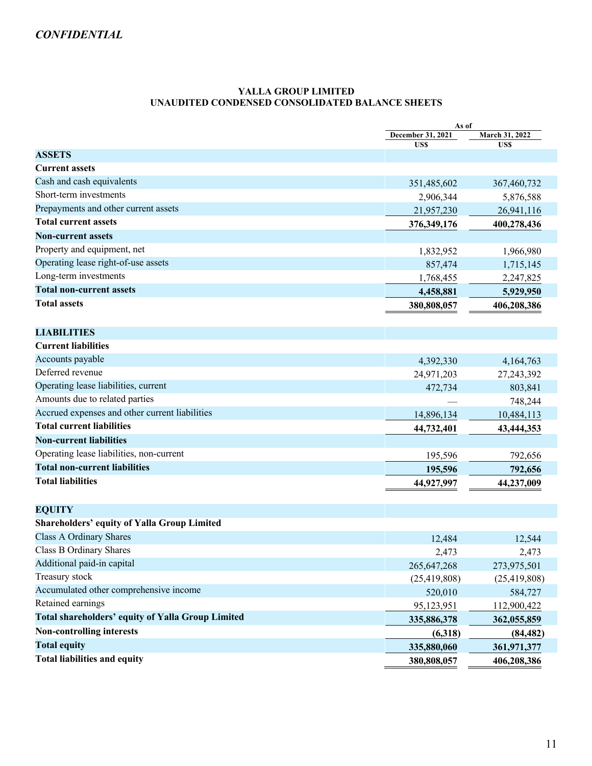#### **YALLA GROUP LIMITED UNAUDITED CONDENSED CONSOLIDATED BALANCE SHEETS**

|                                                          |                   | As of          |  |
|----------------------------------------------------------|-------------------|----------------|--|
|                                                          | December 31, 2021 | March 31, 2022 |  |
| <b>ASSETS</b>                                            | US\$              | US\$           |  |
| <b>Current assets</b>                                    |                   |                |  |
| Cash and cash equivalents                                | 351,485,602       | 367,460,732    |  |
| Short-term investments                                   | 2,906,344         | 5,876,588      |  |
| Prepayments and other current assets                     | 21,957,230        | 26,941,116     |  |
| <b>Total current assets</b>                              | 376, 349, 176     | 400,278,436    |  |
| <b>Non-current assets</b>                                |                   |                |  |
| Property and equipment, net                              | 1,832,952         | 1,966,980      |  |
| Operating lease right-of-use assets                      | 857,474           | 1,715,145      |  |
| Long-term investments                                    | 1,768,455         | 2,247,825      |  |
| <b>Total non-current assets</b>                          | 4,458,881         | 5,929,950      |  |
| <b>Total assets</b>                                      | 380,808,057       | 406,208,386    |  |
|                                                          |                   |                |  |
| <b>LIABILITIES</b>                                       |                   |                |  |
| <b>Current liabilities</b>                               |                   |                |  |
| Accounts payable                                         | 4,392,330         | 4,164,763      |  |
| Deferred revenue                                         | 24,971,203        | 27, 243, 392   |  |
| Operating lease liabilities, current                     | 472,734           | 803,841        |  |
| Amounts due to related parties                           |                   | 748,244        |  |
| Accrued expenses and other current liabilities           | 14,896,134        | 10,484,113     |  |
| <b>Total current liabilities</b>                         | 44,732,401        | 43,444,353     |  |
| <b>Non-current liabilities</b>                           |                   |                |  |
| Operating lease liabilities, non-current                 | 195,596           | 792,656        |  |
| <b>Total non-current liabilities</b>                     | 195,596           | 792,656        |  |
| <b>Total liabilities</b>                                 | 44,927,997        | 44,237,009     |  |
| <b>EQUITY</b>                                            |                   |                |  |
| <b>Shareholders' equity of Yalla Group Limited</b>       |                   |                |  |
| Class A Ordinary Shares                                  | 12,484            | 12,544         |  |
| Class B Ordinary Shares                                  | 2,473             | 2,473          |  |
| Additional paid-in capital                               | 265, 647, 268     | 273,975,501    |  |
| Treasury stock                                           | (25, 419, 808)    | (25, 419, 808) |  |
| Accumulated other comprehensive income                   | 520,010           | 584,727        |  |
| Retained earnings                                        | 95,123,951        | 112,900,422    |  |
| <b>Total shareholders' equity of Yalla Group Limited</b> | 335,886,378       | 362,055,859    |  |
| <b>Non-controlling interests</b>                         | (6,318)           | (84, 482)      |  |
| <b>Total equity</b>                                      | 335,880,060       | 361,971,377    |  |
| <b>Total liabilities and equity</b>                      | 380,808,057       | 406,208,386    |  |
|                                                          |                   |                |  |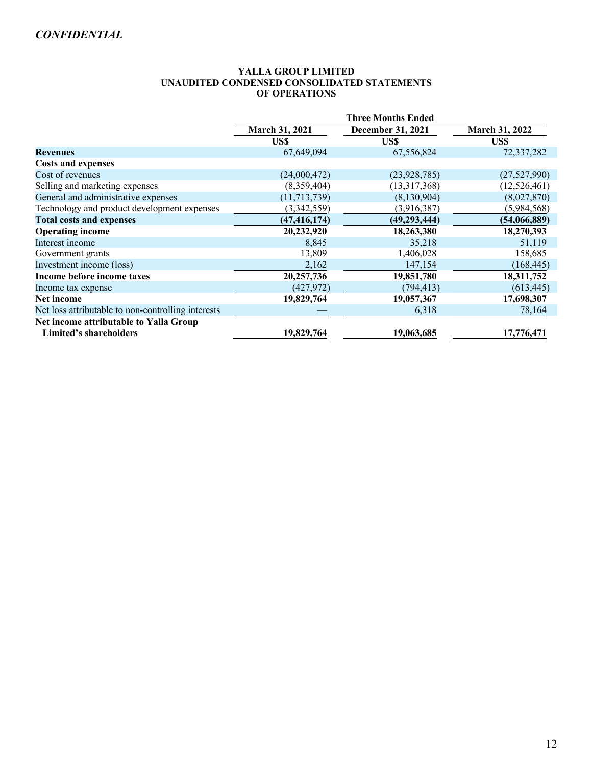#### **YALLA GROUP LIMITED UNAUDITED CONDENSED CONSOLIDATED STATEMENTS OF OPERATIONS**

|                                                    | <b>Three Months Ended</b> |                   |                       |
|----------------------------------------------------|---------------------------|-------------------|-----------------------|
|                                                    | March 31, 2021            | December 31, 2021 | <b>March 31, 2022</b> |
|                                                    | US\$                      | US\$              | US\$                  |
| <b>Revenues</b>                                    | 67,649,094                | 67,556,824        | 72,337,282            |
| <b>Costs and expenses</b>                          |                           |                   |                       |
| Cost of revenues                                   | (24,000,472)              | (23, 928, 785)    | (27,527,990)          |
| Selling and marketing expenses                     | (8,359,404)               | (13,317,368)      | (12,526,461)          |
| General and administrative expenses                | (11, 713, 739)            | (8,130,904)       | (8,027,870)           |
| Technology and product development expenses        | (3,342,559)               | (3,916,387)       | (5,984,568)           |
| <b>Total costs and expenses</b>                    | (47, 416, 174)            | (49, 293, 444)    | (54,066,889)          |
| <b>Operating income</b>                            | 20,232,920                | 18,263,380        | 18,270,393            |
| Interest income                                    | 8,845                     | 35,218            | 51,119                |
| Government grants                                  | 13,809                    | 1,406,028         | 158,685               |
| Investment income (loss)                           | 2,162                     | 147,154           | (168, 445)            |
| Income before income taxes                         | 20,257,736                | 19,851,780        | 18,311,752            |
| Income tax expense                                 | (427, 972)                | (794, 413)        | (613, 445)            |
| Net income                                         | 19,829,764                | 19,057,367        | 17,698,307            |
| Net loss attributable to non-controlling interests |                           | 6,318             | 78,164                |
| Net income attributable to Yalla Group             |                           |                   |                       |
| <b>Limited's shareholders</b>                      | 19,829,764                | 19,063,685        | 17,776,471            |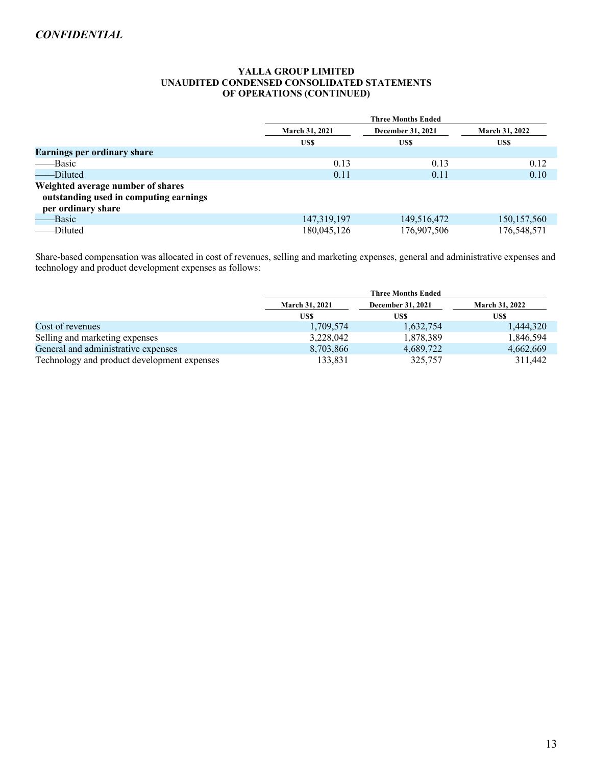#### **YALLA GROUP LIMITED UNAUDITED CONDENSED CONSOLIDATED STATEMENTS OF OPERATIONS (CONTINUED)**

|                                                                                                   | <b>Three Months Ended</b> |                   |                       |
|---------------------------------------------------------------------------------------------------|---------------------------|-------------------|-----------------------|
|                                                                                                   | <b>March 31, 2021</b>     | December 31, 2021 | <b>March 31, 2022</b> |
|                                                                                                   | US\$                      | US\$              | US\$                  |
| <b>Earnings per ordinary share</b>                                                                |                           |                   |                       |
| -Basic                                                                                            | 0.13                      | 0.13              | 0.12                  |
| ---Diluted                                                                                        | 0.11                      | 0.11              | 0.10                  |
| Weighted average number of shares<br>outstanding used in computing earnings<br>per ordinary share |                           |                   |                       |
| -Basic                                                                                            | 147, 319, 197             | 149,516,472       | 150, 157, 560         |
| -Diluted                                                                                          | 180,045,126               | 176,907,506       | 176,548,571           |

Share-based compensation was allocated in cost of revenues, selling and marketing expenses, general and administrative expenses and technology and product development expenses as follows:

|                                             | <b>Three Months Ended</b> |                          |                       |
|---------------------------------------------|---------------------------|--------------------------|-----------------------|
|                                             | <b>March 31, 2021</b>     | <b>December 31, 2021</b> | <b>March 31, 2022</b> |
|                                             | US\$                      | US\$                     | US\$                  |
| Cost of revenues                            | 1,709,574                 | 1,632,754                | 1,444,320             |
| Selling and marketing expenses              | 3,228,042                 | 1,878,389                | 1,846,594             |
| General and administrative expenses         | 8,703,866                 | 4,689,722                | 4,662,669             |
| Technology and product development expenses | 133.831                   | 325,757                  | 311.442               |